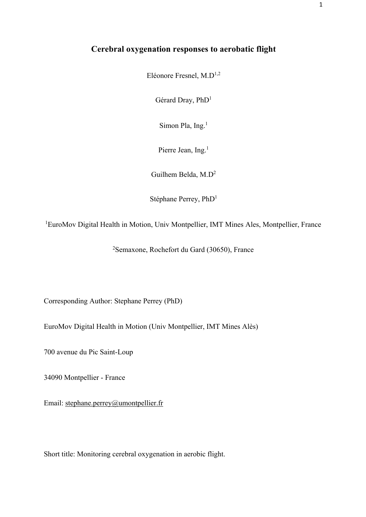## **Cerebral oxygenation responses to aerobatic flight**

Eléonore Fresnel, M.D1,2

Gérard Dray, PhD1

Simon Pla, Ing.<sup>1</sup>

Pierre Jean, Ing.<sup>1</sup>

Guilhem Belda, M.D2

Stéphane Perrey, PhD1

<sup>1</sup>EuroMov Digital Health in Motion, Univ Montpellier, IMT Mines Ales, Montpellier, France

2 Semaxone, Rochefort du Gard (30650), France

Corresponding Author: Stephane Perrey (PhD)

EuroMov Digital Health in Motion (Univ Montpellier, IMT Mines Alès)

700 avenue du Pic Saint-Loup

34090 Montpellier - France

Email: stephane.perrey@umontpellier.fr

Short title: Monitoring cerebral oxygenation in aerobic flight.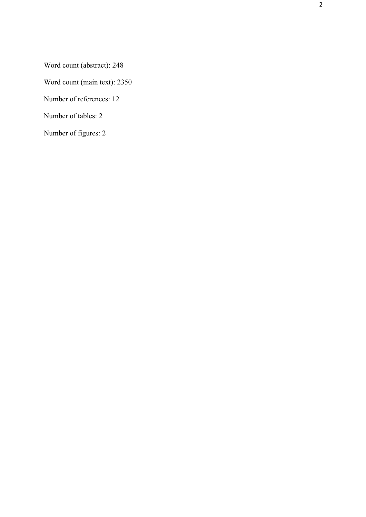Word count (abstract): 248

Word count (main text): 2350

Number of references: 12

Number of tables: 2

Number of figures: 2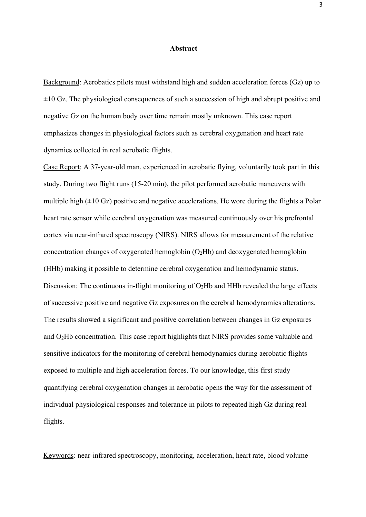#### **Abstract**

Background: Aerobatics pilots must withstand high and sudden acceleration forces (Gz) up to  $\pm 10$  Gz. The physiological consequences of such a succession of high and abrupt positive and negative Gz on the human body over time remain mostly unknown. This case report emphasizes changes in physiological factors such as cerebral oxygenation and heart rate dynamics collected in real aerobatic flights.

Case Report: A 37-year-old man, experienced in aerobatic flying, voluntarily took part in this study. During two flight runs (15-20 min), the pilot performed aerobatic maneuvers with multiple high  $(\pm 10 \text{ Gz})$  positive and negative accelerations. He wore during the flights a Polar heart rate sensor while cerebral oxygenation was measured continuously over his prefrontal cortex via near-infrared spectroscopy (NIRS). NIRS allows for measurement of the relative concentration changes of oxygenated hemoglobin  $(O<sub>2</sub>Hb)$  and deoxygenated hemoglobin (HHb) making it possible to determine cerebral oxygenation and hemodynamic status. Discussion: The continuous in-flight monitoring of  $O_2Hb$  and HHb revealed the large effects of successive positive and negative Gz exposures on the cerebral hemodynamics alterations. The results showed a significant and positive correlation between changes in Gz exposures and O2Hb concentration. This case report highlights that NIRS provides some valuable and sensitive indicators for the monitoring of cerebral hemodynamics during aerobatic flights exposed to multiple and high acceleration forces. To our knowledge, this first study quantifying cerebral oxygenation changes in aerobatic opens the way for the assessment of individual physiological responses and tolerance in pilots to repeated high Gz during real flights.

Keywords: near-infrared spectroscopy, monitoring, acceleration, heart rate, blood volume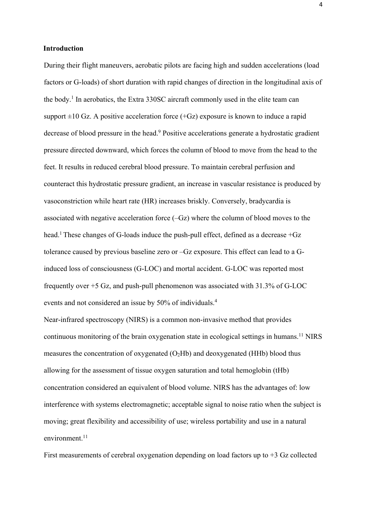#### **Introduction**

During their flight maneuvers, aerobatic pilots are facing high and sudden accelerations (load factors or G-loads) of short duration with rapid changes of direction in the longitudinal axis of the body. <sup>1</sup> In aerobatics, the Extra 330SC aircraft commonly used in the elite team can support  $\pm 10$  Gz. A positive acceleration force (+Gz) exposure is known to induce a rapid decrease of blood pressure in the head.<sup>9</sup> Positive accelerations generate a hydrostatic gradient pressure directed downward, which forces the column of blood to move from the head to the feet. It results in reduced cerebral blood pressure. To maintain cerebral perfusion and counteract this hydrostatic pressure gradient, an increase in vascular resistance is produced by vasoconstriction while heart rate (HR) increases briskly. Conversely, bradycardia is associated with negative acceleration force (–Gz) where the column of blood moves to the head.<sup>1</sup> These changes of G-loads induce the push-pull effect, defined as a decrease +Gz tolerance caused by previous baseline zero or –Gz exposure. This effect can lead to a Ginduced loss of consciousness (G-LOC) and mortal accident. G-LOC was reported most frequently over +5 Gz, and push-pull phenomenon was associated with 31.3% of G-LOC events and not considered an issue by 50% of individuals. 4

Near-infrared spectroscopy (NIRS) is a common non-invasive method that provides continuous monitoring of the brain oxygenation state in ecological settings in humans.<sup>11</sup> NIRS measures the concentration of oxygenated  $(O<sub>2</sub>Hb)$  and deoxygenated (HHb) blood thus allowing for the assessment of tissue oxygen saturation and total hemoglobin (tHb) concentration considered an equivalent of blood volume. NIRS has the advantages of: low interference with systems electromagnetic; acceptable signal to noise ratio when the subject is moving; great flexibility and accessibility of use; wireless portability and use in a natural environment.<sup>11</sup>

First measurements of cerebral oxygenation depending on load factors up to  $+3$  Gz collected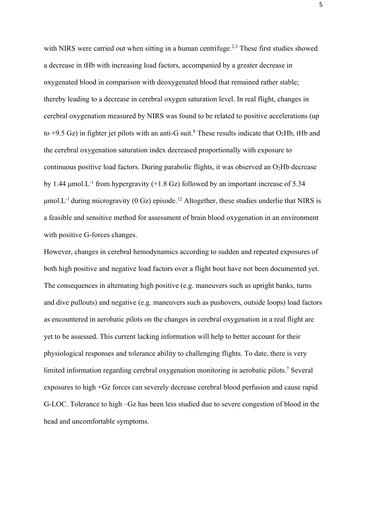with NIRS were carried out when sitting in a human centrifuge.<sup>2,3</sup> These first studies showed a decrease in tHb with increasing load factors, accompanied by a greater decrease in oxygenated blood in comparison with deoxygenated blood that remained rather stable; thereby leading to a decrease in cerebral oxygen saturation level. In real flight, changes in cerebral oxygenation measured by NIRS was found to be related to positive accelerations (up to  $+9.5$  Gz) in fighter jet pilots with an anti-G suit.<sup>8</sup> These results indicate that O<sub>2</sub>Hb, tHb and the cerebral oxygenation saturation index decreased proportionally with exposure to continuous positive load factors. During parabolic flights, it was observed an  $O_2Hb$  decrease by 1.44  $\mu$ mol.L<sup>-1</sup> from hypergravity (+1.8 Gz) followed by an important increase of 5.34  $\mu$ mol. L<sup>-1</sup> during microgravity (0 Gz) episode.<sup>12</sup> Altogether, these studies underlie that NIRS is a feasible and sensitive method for assessment of brain blood oxygenation in an environment with positive G-forces changes.

However, changes in cerebral hemodynamics according to sudden and repeated exposures of both high positive and negative load factors over a flight bout have not been documented yet. The consequences in alternating high positive (e.g. maneuvers such as upright banks, turns and dive pullouts) and negative (e.g. maneuvers such as pushovers, outside loops) load factors as encountered in aerobatic pilots on the changes in cerebral oxygenation in a real flight are yet to be assessed. This current lacking information will help to better account for their physiological responses and tolerance ability to challenging flights. To date, there is very limited information regarding cerebral oxygenation monitoring in aerobatic pilots. <sup>7</sup> Several exposures to high +Gz forces can severely decrease cerebral blood perfusion and cause rapid G-LOC. Tolerance to high –Gz has been less studied due to severe congestion of blood in the head and uncomfortable symptoms.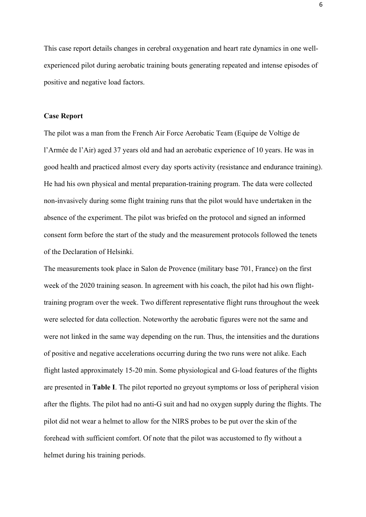This case report details changes in cerebral oxygenation and heart rate dynamics in one wellexperienced pilot during aerobatic training bouts generating repeated and intense episodes of positive and negative load factors.

#### **Case Report**

The pilot was a man from the French Air Force Aerobatic Team (Equipe de Voltige de l'Armée de l'Air) aged 37 years old and had an aerobatic experience of 10 years. He was in good health and practiced almost every day sports activity (resistance and endurance training). He had his own physical and mental preparation-training program. The data were collected non-invasively during some flight training runs that the pilot would have undertaken in the absence of the experiment. The pilot was briefed on the protocol and signed an informed consent form before the start of the study and the measurement protocols followed the tenets of the Declaration of Helsinki.

The measurements took place in Salon de Provence (military base 701, France) on the first week of the 2020 training season. In agreement with his coach, the pilot had his own flighttraining program over the week. Two different representative flight runs throughout the week were selected for data collection. Noteworthy the aerobatic figures were not the same and were not linked in the same way depending on the run. Thus, the intensities and the durations of positive and negative accelerations occurring during the two runs were not alike. Each flight lasted approximately 15-20 min. Some physiological and G-load features of the flights are presented in **Table I**. The pilot reported no greyout symptoms or loss of peripheral vision after the flights. The pilot had no anti-G suit and had no oxygen supply during the flights. The pilot did not wear a helmet to allow for the NIRS probes to be put over the skin of the forehead with sufficient comfort. Of note that the pilot was accustomed to fly without a helmet during his training periods.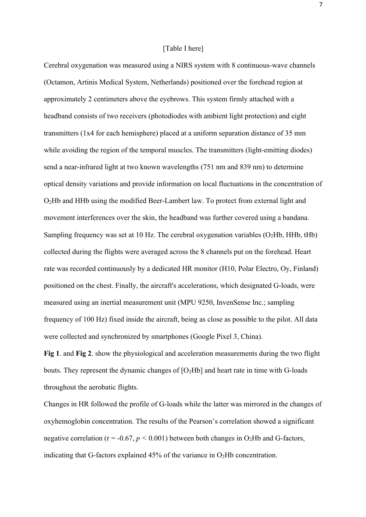#### [Table I here]

Cerebral oxygenation was measured using a NIRS system with 8 continuous-wave channels (Octamon, Artinis Medical System, Netherlands) positioned over the forehead region at approximately 2 centimeters above the eyebrows. This system firmly attached with a headband consists of two receivers (photodiodes with ambient light protection) and eight transmitters (1x4 for each hemisphere) placed at a uniform separation distance of 35 mm while avoiding the region of the temporal muscles. The transmitters (light-emitting diodes) send a near-infrared light at two known wavelengths (751 nm and 839 nm) to determine optical density variations and provide information on local fluctuations in the concentration of O2Hb and HHb using the modified Beer-Lambert law. To protect from external light and movement interferences over the skin, the headband was further covered using a bandana. Sampling frequency was set at 10 Hz. The cerebral oxygenation variables  $(O_2Hb, HHb, tHb)$ collected during the flights were averaged across the 8 channels put on the forehead. Heart rate was recorded continuously by a dedicated HR monitor (H10, Polar Electro, Oy, Finland) positioned on the chest. Finally, the aircraft's accelerations, which designated G-loads, were measured using an inertial measurement unit (MPU 9250, InvenSense Inc.; sampling frequency of 100 Hz) fixed inside the aircraft, being as close as possible to the pilot. All data were collected and synchronized by smartphones (Google Pixel 3, China).

**Fig 1**. and **Fig 2**. show the physiological and acceleration measurements during the two flight bouts. They represent the dynamic changes of  $[O_2Hb]$  and heart rate in time with G-loads throughout the aerobatic flights.

Changes in HR followed the profile of G-loads while the latter was mirrored in the changes of oxyhemoglobin concentration. The results of the Pearson's correlation showed a significant negative correlation ( $r = -0.67$ ,  $p < 0.001$ ) between both changes in O<sub>2</sub>Hb and G-factors, indicating that G-factors explained  $45\%$  of the variance in O<sub>2</sub>Hb concentration.

7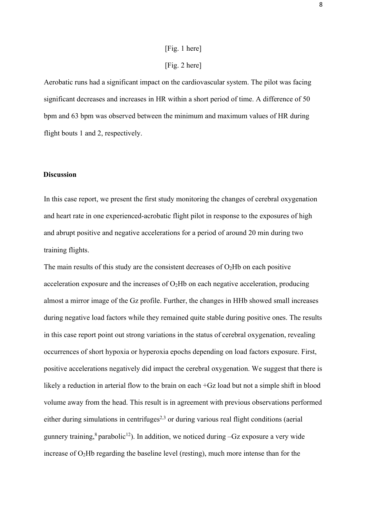# [Fig. 1 here]

## [Fig. 2 here]

Aerobatic runs had a significant impact on the cardiovascular system. The pilot was facing significant decreases and increases in HR within a short period of time. A difference of 50 bpm and 63 bpm was observed between the minimum and maximum values of HR during flight bouts 1 and 2, respectively.

#### **Discussion**

In this case report, we present the first study monitoring the changes of cerebral oxygenation and heart rate in one experienced-acrobatic flight pilot in response to the exposures of high and abrupt positive and negative accelerations for a period of around 20 min during two training flights.

The main results of this study are the consistent decreases of  $O<sub>2</sub>Hb$  on each positive acceleration exposure and the increases of  $O<sub>2</sub>Hb$  on each negative acceleration, producing almost a mirror image of the Gz profile. Further, the changes in HHb showed small increases during negative load factors while they remained quite stable during positive ones. The results in this case report point out strong variations in the status of cerebral oxygenation, revealing occurrences of short hypoxia or hyperoxia epochs depending on load factors exposure. First, positive accelerations negatively did impact the cerebral oxygenation. We suggest that there is likely a reduction in arterial flow to the brain on each +Gz load but not a simple shift in blood volume away from the head. This result is in agreement with previous observations performed either during simulations in centrifuges<sup>2,3</sup> or during various real flight conditions (aerial gunnery training,<sup>8</sup> parabolic<sup>12</sup>). In addition, we noticed during  $-Gz$  exposure a very wide increase of  $O_2Hb$  regarding the baseline level (resting), much more intense than for the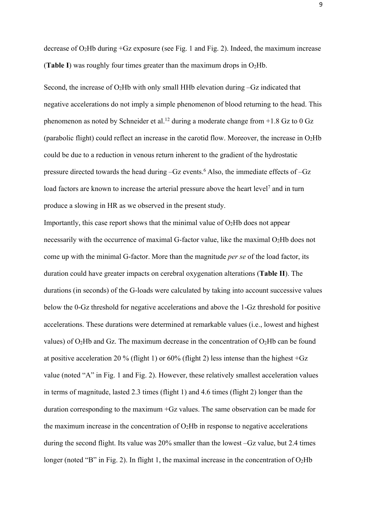decrease of  $O_2$ Hb during +Gz exposure (see Fig. 1 and Fig. 2). Indeed, the maximum increase (**Table I**) was roughly four times greater than the maximum drops in  $O_2Hb$ .

Second, the increase of  $O_2Hb$  with only small HHb elevation during  $-Gz$  indicated that negative accelerations do not imply a simple phenomenon of blood returning to the head. This phenomenon as noted by Schneider et al.<sup>12</sup> during a moderate change from  $+1.8$  Gz to 0 Gz (parabolic flight) could reflect an increase in the carotid flow. Moreover, the increase in  $O<sub>2</sub>Hb$ could be due to a reduction in venous return inherent to the gradient of the hydrostatic pressure directed towards the head during –Gz events. <sup>6</sup> Also, the immediate effects of –Gz load factors are known to increase the arterial pressure above the heart level<sup>7</sup> and in turn produce a slowing in HR as we observed in the present study.

Importantly, this case report shows that the minimal value of  $O<sub>2</sub>Hb$  does not appear necessarily with the occurrence of maximal G-factor value, like the maximal  $O_2Hb$  does not come up with the minimal G-factor. More than the magnitude *per se* of the load factor, its duration could have greater impacts on cerebral oxygenation alterations (**Table II**). The durations (in seconds) of the G-loads were calculated by taking into account successive values below the 0-Gz threshold for negative accelerations and above the 1-Gz threshold for positive accelerations. These durations were determined at remarkable values (i.e., lowest and highest values) of  $O_2Hb$  and Gz. The maximum decrease in the concentration of  $O_2Hb$  can be found at positive acceleration 20 % (flight 1) or  $60\%$  (flight 2) less intense than the highest  $+Gz$ value (noted "A" in Fig. 1 and Fig. 2). However, these relatively smallest acceleration values in terms of magnitude, lasted 2.3 times (flight 1) and 4.6 times (flight 2) longer than the duration corresponding to the maximum +Gz values. The same observation can be made for the maximum increase in the concentration of  $O<sub>2</sub>Hb$  in response to negative accelerations during the second flight. Its value was 20% smaller than the lowest –Gz value, but 2.4 times longer (noted "B" in Fig. 2). In flight 1, the maximal increase in the concentration of  $O_2Hb$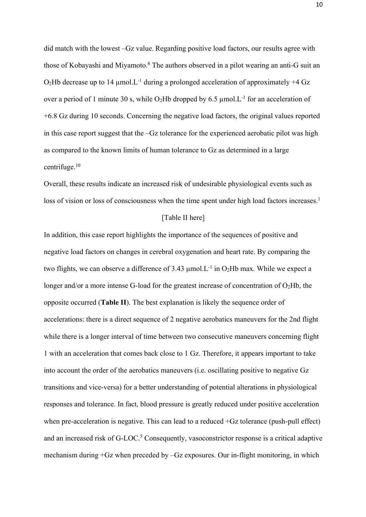did match with the lowest –Gz value. Regarding positive load factors, our results agree with those of Kobayashi and Miyamoto.<sup>8</sup> The authors observed in a pilot wearing an anti-G suit an  $O<sub>2</sub>$ Hb decrease up to 14 µmol.L<sup>-1</sup> during a prolonged acceleration of approximately +4 Gz over a period of 1 minute 30 s, while O<sub>2</sub>Hb dropped by 6.5  $\mu$ mol.<sup>1</sup> for an acceleration of +6.8 Gz during 10 seconds. Concerning the negative load factors, the original values reported in this case report suggest that the –Gz tolerance for the experienced aerobatic pilot was high as compared to the known limits of human tolerance to Gz as determined in a large centrifuge.10

Overall, these results indicate an increased risk of undesirable physiological events such as loss of vision or loss of consciousness when the time spent under high load factors increases.<sup>1</sup>

### [Table II here]

In addition, this case report highlights the importance of the sequences of positive and negative load factors on changes in cerebral oxygenation and heart rate. By comparing the two flights, we can observe a difference of 3.43  $\mu$ mol.L<sup>-1</sup> in O<sub>2</sub>Hb max. While we expect a longer and/or a more intense G-load for the greatest increase of concentration of  $O<sub>2</sub>Hb$ , the opposite occurred (**Table II**). The best explanation is likely the sequence order of accelerations: there is a direct sequence of 2 negative aerobatics maneuvers for the 2nd flight while there is a longer interval of time between two consecutive maneuvers concerning flight 1 with an acceleration that comes back close to 1 Gz. Therefore, it appears important to take into account the order of the aerobatics maneuvers (i.e. oscillating positive to negative Gz transitions and vice-versa) for a better understanding of potential alterations in physiological responses and tolerance. In fact, blood pressure is greatly reduced under positive acceleration when pre-acceleration is negative. This can lead to a reduced +Gz tolerance (push-pull effect) and an increased risk of G-LOC. <sup>5</sup> Consequently, vasoconstrictor response is a critical adaptive mechanism during +Gz when preceded by –Gz exposures. Our in-flight monitoring, in which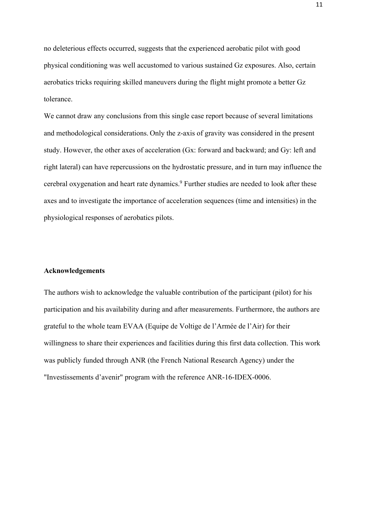no deleterious effects occurred, suggests that the experienced aerobatic pilot with good physical conditioning was well accustomed to various sustained Gz exposures. Also, certain aerobatics tricks requiring skilled maneuvers during the flight might promote a better Gz tolerance.

We cannot draw any conclusions from this single case report because of several limitations and methodological considerations. Only the z-axis of gravity was considered in the present study. However, the other axes of acceleration (Gx: forward and backward; and Gy: left and right lateral) can have repercussions on the hydrostatic pressure, and in turn may influence the cerebral oxygenation and heart rate dynamics. <sup>9</sup> Further studies are needed to look after these axes and to investigate the importance of acceleration sequences (time and intensities) in the physiological responses of aerobatics pilots.

#### **Acknowledgements**

The authors wish to acknowledge the valuable contribution of the participant (pilot) for his participation and his availability during and after measurements. Furthermore, the authors are grateful to the whole team EVAA (Equipe de Voltige de l'Armée de l'Air) for their willingness to share their experiences and facilities during this first data collection. This work was publicly funded through ANR (the French National Research Agency) under the "Investissements d'avenir" program with the reference ANR-16-IDEX-0006.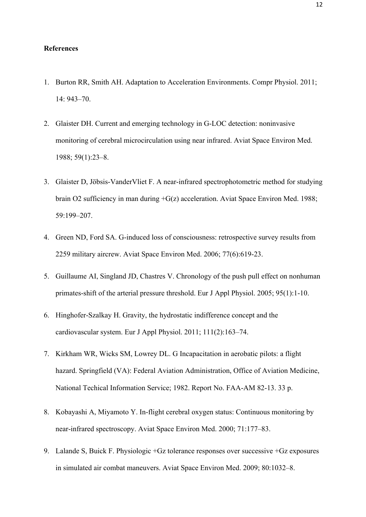#### **References**

- 1. Burton RR, Smith AH. Adaptation to Acceleration Environments. Compr Physiol. 2011; 14: 943–70.
- 2. Glaister DH. Current and emerging technology in G-LOC detection: noninvasive monitoring of cerebral microcirculation using near infrared. Aviat Space Environ Med. 1988; 59(1):23–8.
- 3. Glaister D, Jöbsis-VanderVliet F. A near-infrared spectrophotometric method for studying brain O2 sufficiency in man during +G(z) acceleration. Aviat Space Environ Med. 1988; 59:199–207.
- 4. Green ND, Ford SA. G-induced loss of consciousness: retrospective survey results from 2259 military aircrew. Aviat Space Environ Med. 2006; 77(6):619-23.
- 5. Guillaume AI, Singland JD, Chastres V. Chronology of the push pull effect on nonhuman primates-shift of the arterial pressure threshold. Eur J Appl Physiol. 2005; 95(1):1-10.
- 6. Hinghofer-Szalkay H. Gravity, the hydrostatic indifference concept and the cardiovascular system. Eur J Appl Physiol. 2011; 111(2):163–74.
- 7. Kirkham WR, Wicks SM, Lowrey DL. G Incapacitation in aerobatic pilots: a flight hazard. Springfield (VA): Federal Aviation Administration, Office of Aviation Medicine, National Techical Information Service; 1982. Report No. FAA-AM 82-13. 33 p.
- 8. Kobayashi A, Miyamoto Y. In-flight cerebral oxygen status: Continuous monitoring by near-infrared spectroscopy. Aviat Space Environ Med. 2000; 71:177–83.
- 9. Lalande S, Buick F. Physiologic +Gz tolerance responses over successive +Gz exposures in simulated air combat maneuvers. Aviat Space Environ Med. 2009; 80:1032–8.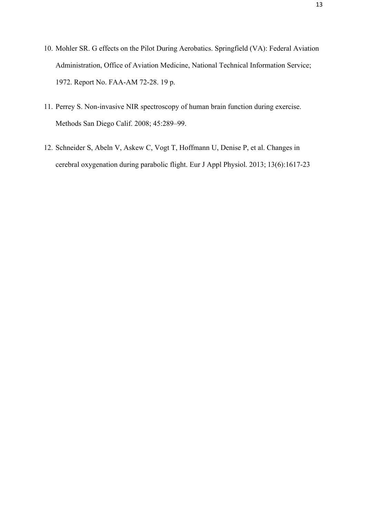- 10. Mohler SR. G effects on the Pilot During Aerobatics. Springfield (VA): Federal Aviation Administration, Office of Aviation Medicine, National Technical Information Service; 1972. Report No. FAA-AM 72-28. 19 p.
- 11. Perrey S. Non-invasive NIR spectroscopy of human brain function during exercise. Methods San Diego Calif. 2008; 45:289–99.
- 12. Schneider S, Abeln V, Askew C, Vogt T, Hoffmann U, Denise P, et al. Changes in cerebral oxygenation during parabolic flight. Eur J Appl Physiol. 2013; 13(6):1617-23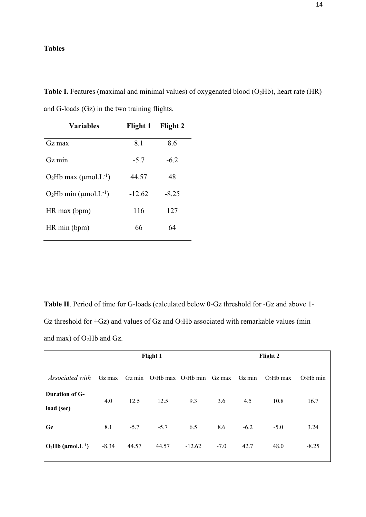## **Tables**

Table I. Features (maximal and minimal values) of oxygenated blood (O<sub>2</sub>Hb), heart rate (HR) and G-loads (Gz) in the two training flights.

| <b>Variables</b>              | Flight 1 | Flight 2 |  |
|-------------------------------|----------|----------|--|
| $Gz$ max                      | 8.1      | 8.6      |  |
| $Gz$ min                      | $-5.7$   | $-6.2$   |  |
| $O_2Hb$ max (µmol. $L^{-1}$ ) | 44.57    | 48       |  |
| $O_2Hb$ min (µmol. $L^{-1}$ ) | $-12.62$ | $-8.25$  |  |
| $HR$ max (bpm)                | 116      | 127      |  |
| HR min (bpm)                  | 66       | 64       |  |

**Table II**. Period of time for G-loads (calculated below 0-Gz threshold for -Gz and above 1- Gz threshold for  $+Gz$ ) and values of Gz and O<sub>2</sub>Hb associated with remarkable values (min and max) of O2Hb and Gz.

|                                     | Flight 1 |        |                                       |          | Flight 2 |        |            |            |
|-------------------------------------|----------|--------|---------------------------------------|----------|----------|--------|------------|------------|
| <i>Associated with</i>              | $Gz$ max |        | Gz min $O_2Hb$ max $O_2Hb$ min Gz max |          |          | Gz min | $O2Hb$ max | $O2Hb$ min |
| <b>Duration of G-</b><br>load (sec) | 4.0      | 12.5   | 12.5                                  | 9.3      | 3.6      | 4.5    | 10.8       | 16.7       |
| Gz                                  | 8.1      | $-5.7$ | $-5.7$                                | 6.5      | 8.6      | $-6.2$ | $-5.0$     | 3.24       |
| $O_2Hb$ (µmol.L <sup>-1</sup> )     | $-8.34$  | 44.57  | 44.57                                 | $-12.62$ | $-7.0$   | 42.7   | 48.0       | $-8.25$    |